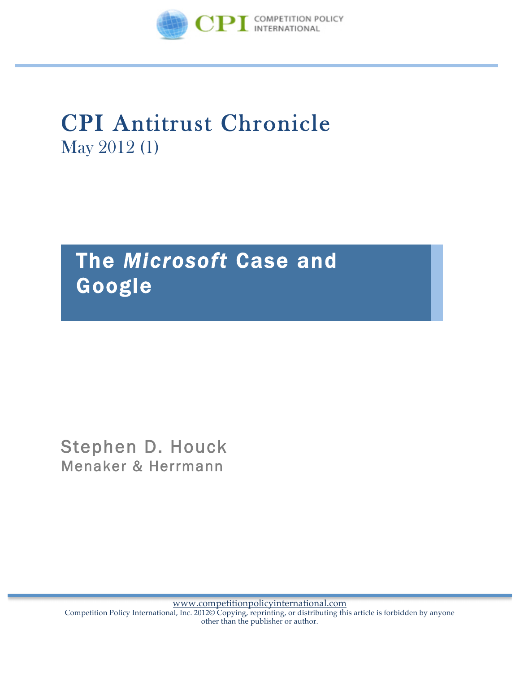

# CPI Antitrust Chronicle May 2012 (1)

# The *Microsoft* Case and Google

Stephen D. Houck Menaker & Herrmann

www.competitionpolicyinternational.com Competition Policy International, Inc. 2012© Copying, reprinting, or distributing this article is forbidden by anyone other than the publisher or author.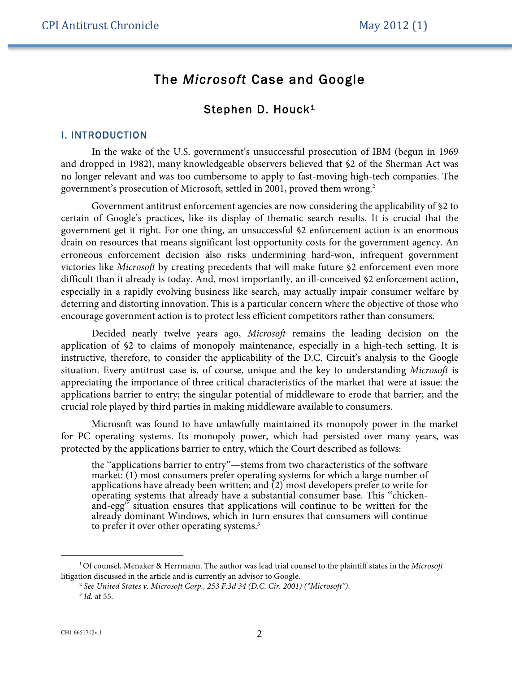## The *Microsoft* Case and Google

### Stephen D. Houck<sup>1</sup>

#### I. INTRODUCTION

In the wake of the U.S. government's unsuccessful prosecution of IBM (begun in 1969 and dropped in 1982), many knowledgeable observers believed that §2 of the Sherman Act was no longer relevant and was too cumbersome to apply to fast-moving high-tech companies. The government's prosecution of Microsoft, settled in 2001, proved them wrong.<sup>2</sup>

Government antitrust enforcement agencies are now considering the applicability of §2 to certain of Google's practices, like its display of thematic search results. It is crucial that the government get it right. For one thing, an unsuccessful §2 enforcement action is an enormous drain on resources that means significant lost opportunity costs for the government agency. An erroneous enforcement decision also risks undermining hard-won, infrequent government victories like *Microsoft* by creating precedents that will make future §2 enforcement even more difficult than it already is today. And, most importantly, an ill-conceived §2 enforcement action, especially in a rapidly evolving business like search, may actually impair consumer welfare by deterring and distorting innovation. This is a particular concern where the objective of those who encourage government action is to protect less efficient competitors rather than consumers.

Decided nearly twelve years ago, *Microsoft* remains the leading decision on the application of §2 to claims of monopoly maintenance, especially in a high-tech setting. It is instructive, therefore, to consider the applicability of the D.C. Circuit's analysis to the Google situation. Every antitrust case is, of course, unique and the key to understanding *Microsoft* is appreciating the importance of three critical characteristics of the market that were at issue: the applications barrier to entry; the singular potential of middleware to erode that barrier; and the crucial role played by third parties in making middleware available to consumers.

Microsoft was found to have unlawfully maintained its monopoly power in the market for PC operating systems. Its monopoly power, which had persisted over many years, was protected by the applications barrier to entry, which the Court described as follows:

the ''applications barrier to entry''—stems from two characteristics of the software market: (1) most consumers prefer operating systems for which a large number of applications have already been written; and  $(2)$  most developers prefer to write for operating systems that already have a substantial consumer base. This ''chickenand-egg'' situation ensures that applications will continue to be written for the already dominant Windows, which in turn ensures that consumers will continue to prefer it over other operating systems.<sup>3</sup>

<sup>1</sup>Of counsel, Menaker & Herrmann. The author was lead trial counsel to the plaintiff states in the *Microsoft*  litigation discussed in the article and is currently an advisor to Google.

<sup>2</sup> *See United States v. Microsoft Corp., 253 F.3d 34 (D.C. Cir. 2001) ("Microsoft")*. <sup>3</sup> *Id.* at 55.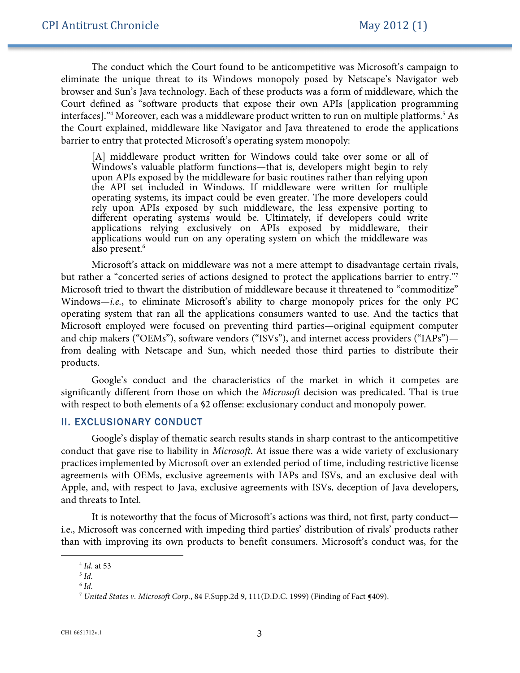The conduct which the Court found to be anticompetitive was Microsoft's campaign to eliminate the unique threat to its Windows monopoly posed by Netscape's Navigator web browser and Sun's Java technology. Each of these products was a form of middleware, which the Court defined as "software products that expose their own APIs [application programming interfaces]."<sup>4</sup> Moreover, each was a middleware product written to run on multiple platforms.<sup>5</sup> As the Court explained, middleware like Navigator and Java threatened to erode the applications barrier to entry that protected Microsoft's operating system monopoly:

[A] middleware product written for Windows could take over some or all of Windows's valuable platform functions—that is, developers might begin to rely upon APIs exposed by the middleware for basic routines rather than relying upon the API set included in Windows. If middleware were written for multiple operating systems, its impact could be even greater. The more developers could rely upon APIs exposed by such middleware, the less expensive porting to different operating systems would be. Ultimately, if developers could write applications relying exclusively on APIs exposed by middleware, their applications would run on any operating system on which the middleware was also present.<sup>6</sup>

Microsoft's attack on middleware was not a mere attempt to disadvantage certain rivals, but rather a "concerted series of actions designed to protect the applications barrier to entry."7 Microsoft tried to thwart the distribution of middleware because it threatened to "commoditize" Windows—*i.e.*, to eliminate Microsoft's ability to charge monopoly prices for the only PC operating system that ran all the applications consumers wanted to use. And the tactics that Microsoft employed were focused on preventing third parties—original equipment computer and chip makers ("OEMs"), software vendors ("ISVs"), and internet access providers ("IAPs") from dealing with Netscape and Sun, which needed those third parties to distribute their products.

Google's conduct and the characteristics of the market in which it competes are significantly different from those on which the *Microsoft* decision was predicated. That is true with respect to both elements of a §2 offense: exclusionary conduct and monopoly power.

#### II. EXCLUSIONARY CONDUCT

Google's display of thematic search results stands in sharp contrast to the anticompetitive conduct that gave rise to liability in *Microsoft*. At issue there was a wide variety of exclusionary practices implemented by Microsoft over an extended period of time, including restrictive license agreements with OEMs, exclusive agreements with IAPs and ISVs, and an exclusive deal with Apple, and, with respect to Java, exclusive agreements with ISVs, deception of Java developers, and threats to Intel.

It is noteworthy that the focus of Microsoft's actions was third, not first, party conduct i.e., Microsoft was concerned with impeding third parties' distribution of rivals' products rather than with improving its own products to benefit consumers. Microsoft's conduct was, for the

<sup>4</sup> *Id.* at 53

<sup>5</sup> *Id.*

 $6$  *Id.* 

<sup>7</sup> *United States v. Microsoft Corp.*, 84 F.Supp.2d 9, 111(D.D.C. 1999) (Finding of Fact ¶409).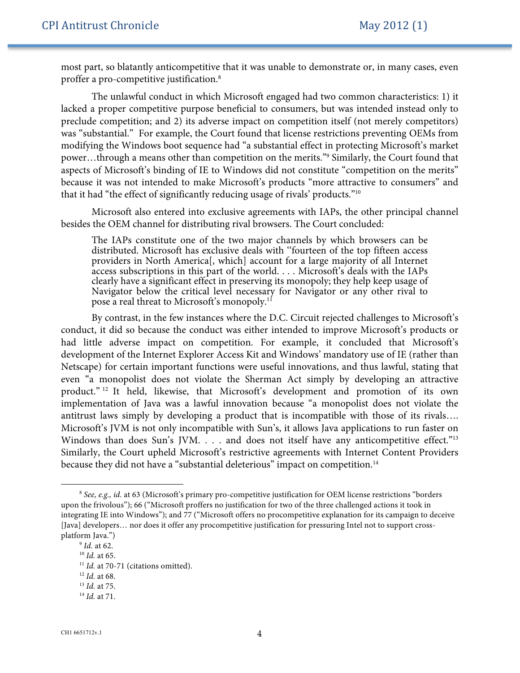most part, so blatantly anticompetitive that it was unable to demonstrate or, in many cases, even proffer a pro-competitive justification.8

The unlawful conduct in which Microsoft engaged had two common characteristics: 1) it lacked a proper competitive purpose beneficial to consumers, but was intended instead only to preclude competition; and 2) its adverse impact on competition itself (not merely competitors) was "substantial." For example, the Court found that license restrictions preventing OEMs from modifying the Windows boot sequence had "a substantial effect in protecting Microsoft's market power…through a means other than competition on the merits."9 Similarly, the Court found that aspects of Microsoft's binding of IE to Windows did not constitute "competition on the merits" because it was not intended to make Microsoft's products "more attractive to consumers" and that it had "the effect of significantly reducing usage of rivals' products."10

Microsoft also entered into exclusive agreements with IAPs, the other principal channel besides the OEM channel for distributing rival browsers. The Court concluded:

The IAPs constitute one of the two major channels by which browsers can be distributed. Microsoft has exclusive deals with ''fourteen of the top fifteen access providers in North America[, which] account for a large majority of all Internet access subscriptions in this part of the world. . . . Microsoft's deals with the IAPs clearly have a significant effect in preserving its monopoly; they help keep usage of Navigator below the critical level necessary for Navigator or any other rival to pose a real threat to Microsoft's monopoly.<sup>11</sup>

By contrast, in the few instances where the D.C. Circuit rejected challenges to Microsoft's conduct, it did so because the conduct was either intended to improve Microsoft's products or had little adverse impact on competition. For example, it concluded that Microsoft's development of the Internet Explorer Access Kit and Windows' mandatory use of IE (rather than Netscape) for certain important functions were useful innovations, and thus lawful, stating that even "a monopolist does not violate the Sherman Act simply by developing an attractive product." <sup>12</sup> It held, likewise, that Microsoft's development and promotion of its own implementation of Java was a lawful innovation because "a monopolist does not violate the antitrust laws simply by developing a product that is incompatible with those of its rivals…. Microsoft's JVM is not only incompatible with Sun's, it allows Java applications to run faster on Windows than does Sun's JVM. . . . and does not itself have any anticompetitive effect."<sup>13</sup> Similarly, the Court upheld Microsoft's restrictive agreements with Internet Content Providers because they did not have a "substantial deleterious" impact on competition.<sup>14</sup>

<sup>8</sup> *See, e.g., id.* at 63 (Microsoft's primary pro-competitive justification for OEM license restrictions "borders upon the frivolous"); 66 ("Microsoft proffers no justification for two of the three challenged actions it took in integrating IE into Windows"); and 77 ("Microsoft offers no procompetitive explanation for its campaign to deceive [Java] developers… nor does it offer any procompetitive justification for pressuring Intel not to support crossplatform Java.")

<sup>9</sup> *Id.* at 62.

<sup>10</sup> *Id.* at 65.

<sup>&</sup>lt;sup>11</sup> *Id.* at 70-71 (citations omitted).

<sup>12</sup> *Id.* at 68.

<sup>13</sup> *Id.* at 75.

<sup>14</sup> *Id.* at 71.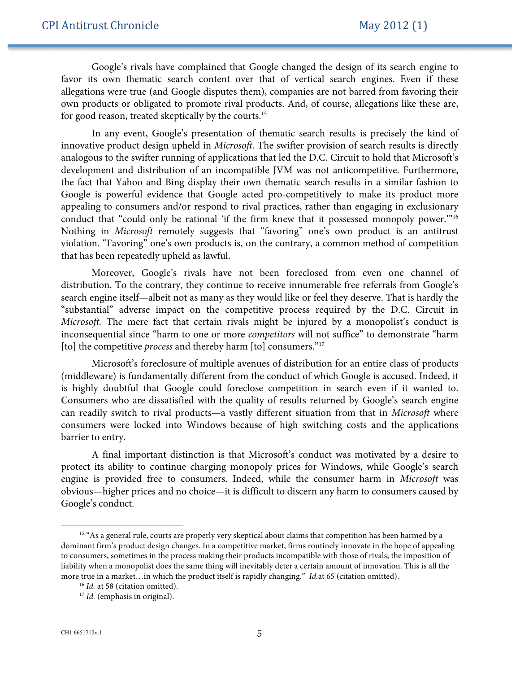Google's rivals have complained that Google changed the design of its search engine to favor its own thematic search content over that of vertical search engines. Even if these allegations were true (and Google disputes them), companies are not barred from favoring their own products or obligated to promote rival products. And, of course, allegations like these are, for good reason, treated skeptically by the courts.15

In any event, Google's presentation of thematic search results is precisely the kind of innovative product design upheld in *Microsoft*. The swifter provision of search results is directly analogous to the swifter running of applications that led the D.C. Circuit to hold that Microsoft's development and distribution of an incompatible JVM was not anticompetitive. Furthermore, the fact that Yahoo and Bing display their own thematic search results in a similar fashion to Google is powerful evidence that Google acted pro-competitively to make its product more appealing to consumers and/or respond to rival practices, rather than engaging in exclusionary conduct that "could only be rational 'if the firm knew that it possessed monopoly power."<sup>16</sup> Nothing in *Microsoft* remotely suggests that "favoring" one's own product is an antitrust violation. "Favoring" one's own products is, on the contrary, a common method of competition that has been repeatedly upheld as lawful.

Moreover, Google's rivals have not been foreclosed from even one channel of distribution. To the contrary, they continue to receive innumerable free referrals from Google's search engine itself—albeit not as many as they would like or feel they deserve. That is hardly the "substantial" adverse impact on the competitive process required by the D.C. Circuit in *Microsoft.* The mere fact that certain rivals might be injured by a monopolist's conduct is inconsequential since "harm to one or more *competitors* will not suffice" to demonstrate "harm [to] the competitive *process* and thereby harm [to] consumers."17

Microsoft's foreclosure of multiple avenues of distribution for an entire class of products (middleware) is fundamentally different from the conduct of which Google is accused. Indeed, it is highly doubtful that Google could foreclose competition in search even if it wanted to. Consumers who are dissatisfied with the quality of results returned by Google's search engine can readily switch to rival products—a vastly different situation from that in *Microsoft* where consumers were locked into Windows because of high switching costs and the applications barrier to entry.

A final important distinction is that Microsoft's conduct was motivated by a desire to protect its ability to continue charging monopoly prices for Windows, while Google's search engine is provided free to consumers. Indeed, while the consumer harm in *Microsoft* was obvious—higher prices and no choice—it is difficult to discern any harm to consumers caused by Google's conduct.

<sup>&</sup>lt;sup>15</sup> "As a general rule, courts are properly very skeptical about claims that competition has been harmed by a dominant firm's product design changes. In a competitive market, firms routinely innovate in the hope of appealing to consumers, sometimes in the process making their products incompatible with those of rivals; the imposition of liability when a monopolist does the same thing will inevitably deter a certain amount of innovation. This is all the more true in a market…in which the product itself is rapidly changing." *Id.*at 65 (citation omitted). 16 *Id.* at 58 (citation omitted).

<sup>&</sup>lt;sup>17</sup> *Id.* (emphasis in original).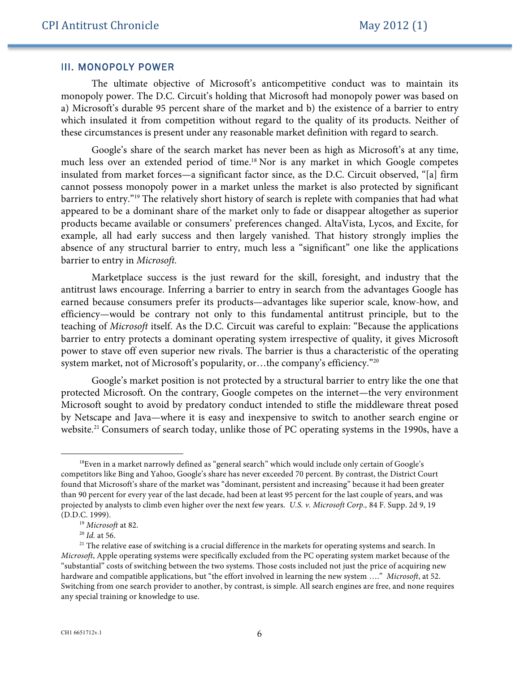#### III. MONOPOLY POWER

The ultimate objective of Microsoft's anticompetitive conduct was to maintain its monopoly power. The D.C. Circuit's holding that Microsoft had monopoly power was based on a) Microsoft's durable 95 percent share of the market and b) the existence of a barrier to entry which insulated it from competition without regard to the quality of its products. Neither of these circumstances is present under any reasonable market definition with regard to search.

Google's share of the search market has never been as high as Microsoft's at any time, much less over an extended period of time.<sup>18</sup> Nor is any market in which Google competes insulated from market forces—a significant factor since, as the D.C. Circuit observed, "[a] firm cannot possess monopoly power in a market unless the market is also protected by significant barriers to entry."19 The relatively short history of search is replete with companies that had what appeared to be a dominant share of the market only to fade or disappear altogether as superior products became available or consumers' preferences changed. AltaVista, Lycos, and Excite, for example, all had early success and then largely vanished. That history strongly implies the absence of any structural barrier to entry, much less a "significant" one like the applications barrier to entry in *Microsoft.*

Marketplace success is the just reward for the skill, foresight, and industry that the antitrust laws encourage. Inferring a barrier to entry in search from the advantages Google has earned because consumers prefer its products—advantages like superior scale, know-how, and efficiency—would be contrary not only to this fundamental antitrust principle, but to the teaching of *Microsoft* itself. As the D.C. Circuit was careful to explain: "Because the applications barrier to entry protects a dominant operating system irrespective of quality, it gives Microsoft power to stave off even superior new rivals. The barrier is thus a characteristic of the operating system market, not of Microsoft's popularity, or...the company's efficiency."<sup>20</sup>

Google's market position is not protected by a structural barrier to entry like the one that protected Microsoft. On the contrary, Google competes on the internet—the very environment Microsoft sought to avoid by predatory conduct intended to stifle the middleware threat posed by Netscape and Java—where it is easy and inexpensive to switch to another search engine or website.<sup>21</sup> Consumers of search today, unlike those of PC operating systems in the 1990s, have a

<sup>&</sup>lt;sup>18</sup>Even in a market narrowly defined as "general search" which would include only certain of Google's competitors like Bing and Yahoo, Google's share has never exceeded 70 percent. By contrast, the District Court found that Microsoft's share of the market was "dominant, persistent and increasing" because it had been greater than 90 percent for every year of the last decade, had been at least 95 percent for the last couple of years, and was projected by analysts to climb even higher over the next few years. *U.S. v. Microsoft Corp.,* 84 F. Supp. 2d 9, 19 (D.D.C. 1999). 19 *Microsoft* at 82.

<sup>20</sup> *Id.* at 56.

 $21$  The relative ease of switching is a crucial difference in the markets for operating systems and search. In *Microsoft*, Apple operating systems were specifically excluded from the PC operating system market because of the "substantial" costs of switching between the two systems. Those costs included not just the price of acquiring new hardware and compatible applications, but "the effort involved in learning the new system …." *Microsoft*, at 52. Switching from one search provider to another, by contrast, is simple. All search engines are free, and none requires any special training or knowledge to use.